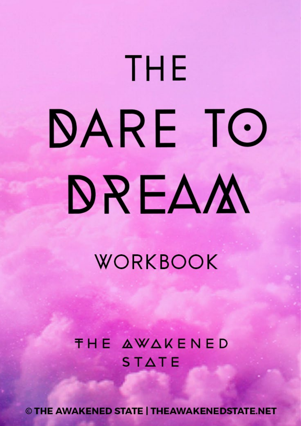# THE DARE TO DREAM

WORKBOOK

**THE AWAKENED**  $STATE$ 

© THE AWAKENED STATE | THEAWAKENEDSTATE.NET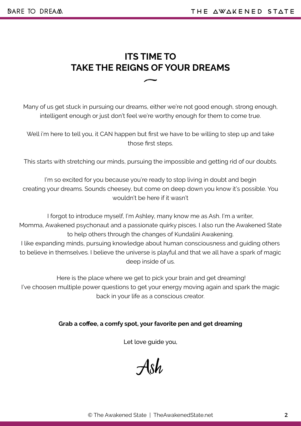## **ITS TIME TO TAKE THE REIGNS OF YOUR DREAMS**  $\overline{\phantom{0}}$

Many of us get stuck in pursuing our dreams, either we're not good enough, strong enough, intelligent enough or just don't feel we're worthy enough for them to come true.

Well i'm here to tell you, it CAN happen but first we have to be willing to step up and take those first steps.

This starts with stretching our minds, pursuing the impossible and getting rid of our doubts.

I'm so excited for you because you're ready to stop living in doubt and begin creating your dreams. Sounds cheesey, but come on deep down you know it's possible. You wouldn't be here if it wasn't

I forgot to introduce myself, I'm Ashley, many know me as Ash. I'm a writer, Momma, Awakened psychonaut and a passionate quirky pisces. I also run the Awakened State to help others through the changes of Kundalini Awakening. I like expanding minds, pursuing knowledge about human consciousness and guiding others to believe in themselves. I believe the universe is playful and that we all have a spark of magic deep inside of us.

 Here is the place where we get to pick your brain and get dreaming! I've choosen multiple power questions to get your energy moving again and spark the magic back in your life as a conscious creator.

#### **Grab a coffee, a comfy spot, your favorite pen and get dreaming**

Let love guide you,

Ash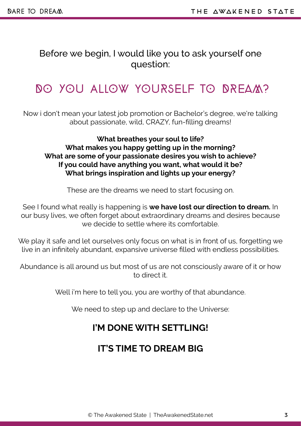Before we begin, I would like you to ask yourself one question:

Ξ

# DO YOU aLlOw yOURsELF TO DREAM?

Now i don't mean your latest job promotion or Bachelor's degree, we're talking about passionate, wild, CRAZY, fun-filling dreams!

**What breathes your soul to life? What makes you happy getting up in the morning? What are some of your passionate desires you wish to achieve? If you could have anything you want, what would it be? What brings inspiration and lights up your energy?**

These are the dreams we need to start focusing on.

See I found what really is happening is **we have lost our direction to dream.** In our busy lives, we often forget about extraordinary dreams and desires because we decide to settle where its comfortable.

We play it safe and let ourselves only focus on what is in front of us, forgetting we live in an infinitely abundant, expansive universe filled with endless possibilities.

Abundance is all around us but most of us are not consciously aware of it or how to direct it.

Well i'm here to tell you, you are worthy of that abundance.

We need to step up and declare to the Universe:

#### **I'M DONE WITH SETTLING!**

#### **IT'S TIME TO DREAM BIG**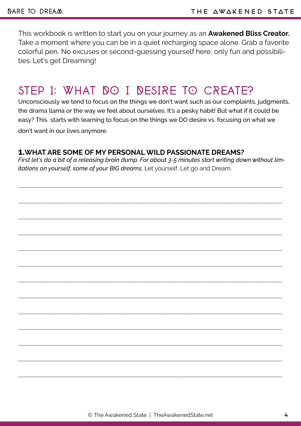This workbook is written to start you on your journey as an **Awakened Bliss Creator.**  Take a moment where you can be in a quiet recharging space alone. Grab a favorite colorful pen. No excuses or second-guessing yourself here, only fun and possibilities. Let's get Dreaming!

# STEP 1: WHAT DO I DESIRE TO CREATE?

Unconsciously we tend to focus on the things we don't want such as our complaints, judgments, the drama llama or the way we feel about ourselves. It's a pesky habit! But what if it could be easy? This starts with learning to focus on the things we DO desire vs. focusing on what we don't want in our lives anymore.

#### **1.WHAT ARE SOME OF MY PERSONAL WILD PASSIONATE DREAMS?**

*First let's do a bit of a releasing brain dump. For about 3-5 minutes start writing down without limitations on yourself, some of your BIG dreams.* Let yourself, Let go and Dream.

\_\_\_\_\_\_\_\_\_\_\_\_\_\_\_\_\_\_\_\_\_\_\_\_\_\_\_\_\_\_\_\_\_\_\_\_\_\_\_\_\_\_\_\_\_\_\_\_\_\_\_\_\_\_\_\_\_\_\_\_\_\_\_\_\_\_\_\_\_\_\_\_\_\_\_\_\_\_\_\_\_\_\_\_\_\_\_

\_\_\_\_\_\_\_\_\_\_\_\_\_\_\_\_\_\_\_\_\_\_\_\_\_\_\_\_\_\_\_\_\_\_\_\_\_\_\_\_\_\_\_\_\_\_\_\_\_\_\_\_\_\_\_\_\_\_\_\_\_\_\_\_\_\_\_\_\_\_\_\_\_\_\_\_\_\_\_\_\_\_\_\_\_\_\_

 $\_$  , and the set of the set of the set of the set of the set of the set of the set of the set of the set of the set of the set of the set of the set of the set of the set of the set of the set of the set of the set of th

\_\_\_\_\_\_\_\_\_\_\_\_\_\_\_\_\_\_\_\_\_\_\_\_\_\_\_\_\_\_\_\_\_\_\_\_\_\_\_\_\_\_\_\_\_\_\_\_\_\_\_\_\_\_\_\_\_\_\_\_\_\_\_\_\_\_\_\_\_\_\_\_\_\_\_\_\_\_\_\_\_\_\_\_\_\_\_

\_\_\_\_\_\_\_\_\_\_\_\_\_\_\_\_\_\_\_\_\_\_\_\_\_\_\_\_\_\_\_\_\_\_\_\_\_\_\_\_\_\_\_\_\_\_\_\_\_\_\_\_\_\_\_\_\_\_\_\_\_\_\_\_\_\_\_\_\_\_\_\_\_\_\_\_\_\_\_\_\_\_\_\_\_\_\_

\_\_\_\_\_\_\_\_\_\_\_\_\_\_\_\_\_\_\_\_\_\_\_\_\_\_\_\_\_\_\_\_\_\_\_\_\_\_\_\_\_\_\_\_\_\_\_\_\_\_\_\_\_\_\_\_\_\_\_\_\_\_\_\_\_\_\_\_\_\_\_\_\_\_\_\_\_\_\_\_\_\_\_\_\_\_\_

\_\_\_\_\_\_\_\_\_\_\_\_\_\_\_\_\_\_\_\_\_\_\_\_\_\_\_\_\_\_\_\_\_\_\_\_\_\_\_\_\_\_\_\_\_\_\_\_\_\_\_\_\_\_\_\_\_\_\_\_\_\_\_\_\_\_\_\_\_\_\_\_\_\_\_\_\_\_\_\_\_\_\_\_\_\_\_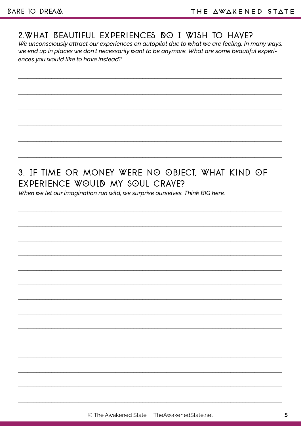## 2. WHAT BEAUTIFUL EXPERIENCES DO I WISH TO HAVE?

We unconsciously attract our experiences on autopilot due to what we are feeling. In many ways, we end up in places we don't necessarily want to be anymore. What are some beautiful experiences you would like to have instead?

# 3. IF TIME OR MONEY WERE NO OBJECT, WHAT KIND OF EXPERIENCE WOULD MY SOUL CRAVE?

When we let our imagination run wild, we surprise ourselves. Think BIG here.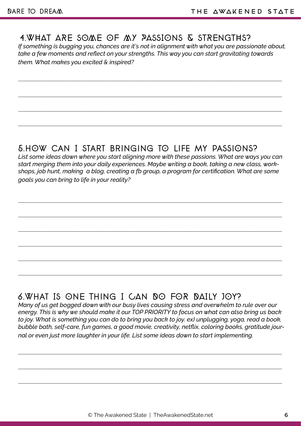#### 4.WHAT ARE SOME OF MY PASSIONS & STRENGTHS?

*If something is bugging you, chances are it's not in alignment with what you are passionate about, take a few moments and reflect on your strengths. This way you can start gravitating towards them. What makes you excited & inspired?*

\_\_\_\_\_\_\_\_\_\_\_\_\_\_\_\_\_\_\_\_\_\_\_\_\_\_\_\_\_\_\_\_\_\_\_\_\_\_\_\_\_\_\_\_\_\_\_\_\_\_\_\_\_\_\_\_\_\_\_\_\_\_\_\_\_\_\_\_\_\_\_\_\_\_\_\_\_\_\_\_\_\_\_\_\_\_\_

\_\_\_\_\_\_\_\_\_\_\_\_\_\_\_\_\_\_\_\_\_\_\_\_\_\_\_\_\_\_\_\_\_\_\_\_\_\_\_\_\_\_\_\_\_\_\_\_\_\_\_\_\_\_\_\_\_\_\_\_\_\_\_\_\_\_\_\_\_\_\_\_\_\_\_\_\_\_\_\_\_\_\_\_\_\_\_

\_\_\_\_\_\_\_\_\_\_\_\_\_\_\_\_\_\_\_\_\_\_\_\_\_\_\_\_\_\_\_\_\_\_\_\_\_\_\_\_\_\_\_\_\_\_\_\_\_\_\_\_\_\_\_\_\_\_\_\_\_\_\_\_\_\_\_\_\_\_\_\_\_\_\_\_\_\_\_\_\_\_\_\_\_\_\_

\_\_\_\_\_\_\_\_\_\_\_\_\_\_\_\_\_\_\_\_\_\_\_\_\_\_\_\_\_\_\_\_\_\_\_\_\_\_\_\_\_\_\_\_\_\_\_\_\_\_\_\_\_\_\_\_\_\_\_\_\_\_\_\_\_\_\_\_\_\_\_\_\_\_\_\_\_\_\_\_\_\_\_\_\_\_\_

#### 5.hOw can I start bringing tO Life my passiOns?

*List some ideas down where you start aligning more with these passions. What are ways you can start merging them into your daily experiences. Maybe writing a book, taking a new class, workshops, job hunt, making a blog, creating a fb group, a program for certification. What are some goals you can bring to life in your reality?*

\_\_\_\_\_\_\_\_\_\_\_\_\_\_\_\_\_\_\_\_\_\_\_\_\_\_\_\_\_\_\_\_\_\_\_\_\_\_\_\_\_\_\_\_\_\_\_\_\_\_\_\_\_\_\_\_\_\_\_\_\_\_\_\_\_\_\_\_\_\_\_\_\_\_\_\_\_\_\_\_\_\_\_\_\_\_\_

\_\_\_\_\_\_\_\_\_\_\_\_\_\_\_\_\_\_\_\_\_\_\_\_\_\_\_\_\_\_\_\_\_\_\_\_\_\_\_\_\_\_\_\_\_\_\_\_\_\_\_\_\_\_\_\_\_\_\_\_\_\_\_\_\_\_\_\_\_\_\_\_\_\_\_\_\_\_\_\_\_\_\_\_\_\_\_

\_\_\_\_\_\_\_\_\_\_\_\_\_\_\_\_\_\_\_\_\_\_\_\_\_\_\_\_\_\_\_\_\_\_\_\_\_\_\_\_\_\_\_\_\_\_\_\_\_\_\_\_\_\_\_\_\_\_\_\_\_\_\_\_\_\_\_\_\_\_\_\_\_\_\_\_\_\_\_\_\_\_\_\_\_\_\_

\_\_\_\_\_\_\_\_\_\_\_\_\_\_\_\_\_\_\_\_\_\_\_\_\_\_\_\_\_\_\_\_\_\_\_\_\_\_\_\_\_\_\_\_\_\_\_\_\_\_\_\_\_\_\_\_\_\_\_\_\_\_\_\_\_\_\_\_\_\_\_\_\_\_\_\_\_\_\_\_\_\_\_\_\_\_\_

\_\_\_\_\_\_\_\_\_\_\_\_\_\_\_\_\_\_\_\_\_\_\_\_\_\_\_\_\_\_\_\_\_\_\_\_\_\_\_\_\_\_\_\_\_\_\_\_\_\_\_\_\_\_\_\_\_\_\_\_\_\_\_\_\_\_\_\_\_\_\_\_\_\_\_\_\_\_\_\_\_\_\_\_\_\_\_

# 6.What Is ONE Thing I CAN DO FOR DAILy JOy?

*Many of us get bogged down with our busy lives causing stress and overwhelm to rule over our energy. This is why we should make it our TOP PRIORITY to focus on what can also bring us back to joy. What is something you can do to bring you back to joy. ex) unplugging, yoga, read a book, bubble bath, self-care, fun games, a good movie, creativity, netflix, coloring books, gratitude journal or even just more laughter in your life. List some ideas down to start implementing.*

\_\_\_\_\_\_\_\_\_\_\_\_\_\_\_\_\_\_\_\_\_\_\_\_\_\_\_\_\_\_\_\_\_\_\_\_\_\_\_\_\_\_\_\_\_\_\_\_\_\_\_\_\_\_\_\_\_\_\_\_\_\_\_\_\_\_\_\_\_\_\_\_\_\_\_\_\_\_\_\_\_\_\_\_\_\_\_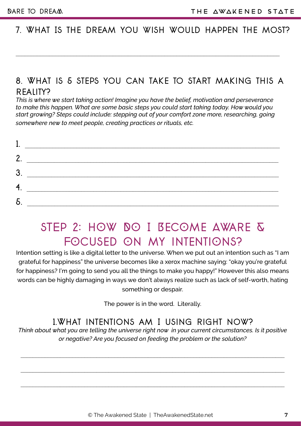#### 7. What Is the dream you wish would happen the most?

# 8. What is 5 steps you can take to start making this a RFAIITY?

*This is where we start taking action! Imagine you have the belief, motivation and perseverance to make this happen. What are some basic steps you could start taking today. How would you start growing? Steps could include: stepping out of your comfort zone more, researching, going somewhere new to meet people, creating practices or rituals, etc.*

| 2        |  |
|----------|--|
| Ω        |  |
| 4<br>. . |  |
|          |  |

# STEP 2: HOW DO I BECOME AWARE & FOCUSED ON MY INTENTIONS?

Intention setting is like a digital letter to the universe. When we put out an intention such as "I am grateful for happiness" the universe becomes like a xerox machine saying: "okay you're grateful for happiness? I'm going to send you all the things to make you happy!" However this also means words can be highly damaging in ways we don't always realize such as lack of self-worth, hating something or despair.

The power is in the word. Literally.

#### 1.What intentions am I using right now?

*Think about what you are telling the universe right now in your current circumstances. Is it positive or negative? Are you focused on feeding the problem or the solution?*

 $\mathcal{L}_\mathcal{L} = \{ \mathcal{L}_\mathcal{L} = \{ \mathcal{L}_\mathcal{L} = \{ \mathcal{L}_\mathcal{L} = \{ \mathcal{L}_\mathcal{L} = \{ \mathcal{L}_\mathcal{L} = \{ \mathcal{L}_\mathcal{L} = \{ \mathcal{L}_\mathcal{L} = \{ \mathcal{L}_\mathcal{L} = \{ \mathcal{L}_\mathcal{L} = \{ \mathcal{L}_\mathcal{L} = \{ \mathcal{L}_\mathcal{L} = \{ \mathcal{L}_\mathcal{L} = \{ \mathcal{L}_\mathcal{L} = \{ \mathcal{L}_\mathcal{$ 

 $\mathcal{L}_\mathcal{L} = \{ \mathcal{L}_\mathcal{L} = \{ \mathcal{L}_\mathcal{L} = \{ \mathcal{L}_\mathcal{L} = \{ \mathcal{L}_\mathcal{L} = \{ \mathcal{L}_\mathcal{L} = \{ \mathcal{L}_\mathcal{L} = \{ \mathcal{L}_\mathcal{L} = \{ \mathcal{L}_\mathcal{L} = \{ \mathcal{L}_\mathcal{L} = \{ \mathcal{L}_\mathcal{L} = \{ \mathcal{L}_\mathcal{L} = \{ \mathcal{L}_\mathcal{L} = \{ \mathcal{L}_\mathcal{L} = \{ \mathcal{L}_\mathcal{$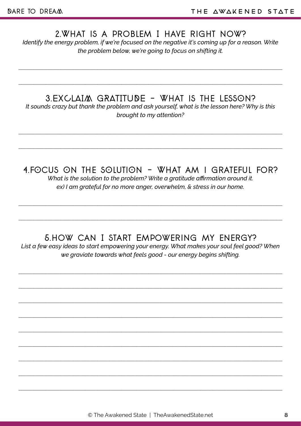#### 2.What is a problem I have right now?

*Identify the energy problem, if we're focused on the negative it's coming up for a reason. Write the problem below, we're going to focus on shifting it.*

\_\_\_\_\_\_\_\_\_\_\_\_\_\_\_\_\_\_\_\_\_\_\_\_\_\_\_\_\_\_\_\_\_\_\_\_\_\_\_\_\_\_\_\_\_\_\_\_\_\_\_\_\_\_\_\_\_\_\_\_\_\_\_\_\_\_\_\_\_\_\_\_\_\_\_\_\_\_\_\_\_\_\_\_\_\_\_

\_\_\_\_\_\_\_\_\_\_\_\_\_\_\_\_\_\_\_\_\_\_\_\_\_\_\_\_\_\_\_\_\_\_\_\_\_\_\_\_\_\_\_\_\_\_\_\_\_\_\_\_\_\_\_\_\_\_\_\_\_\_\_\_\_\_\_\_\_\_\_\_\_\_\_\_\_\_\_\_\_\_\_\_\_\_\_

3.EXCLAIM GRATITUDE - What is the LessOn?

*It sounds crazy but thank the problem and ask yourself, what is the lesson here? Why is this brought to my attention?* 

#### 4.fOcus On the sOlutiOn - What am i grateful for?

\_\_\_\_\_\_\_\_\_\_\_\_\_\_\_\_\_\_\_\_\_\_\_\_\_\_\_\_\_\_\_\_\_\_\_\_\_\_\_\_\_\_\_\_\_\_\_\_\_\_\_\_\_\_\_\_\_\_\_\_\_\_\_\_\_\_\_\_\_\_\_\_\_\_\_\_\_\_\_\_\_\_\_\_\_\_\_

*What is the solution to the problem? Write a gratitude affirmation around it. ex) I am grateful for no more anger, overwhelm, & stress in our home.* 

#### 5.how can I start Empowering my energy?

\_\_\_\_\_\_\_\_\_\_\_\_\_\_\_\_\_\_\_\_\_\_\_\_\_\_\_\_\_\_\_\_\_\_\_\_\_\_\_\_\_\_\_\_\_\_\_\_\_\_\_\_\_\_\_\_\_\_\_\_\_\_\_\_\_\_\_\_\_\_\_\_\_\_\_\_\_\_\_\_\_\_\_\_\_\_\_

List a few easy ideas to start empowering your energy. What makes your soul feel good? When *we graviate towards what feels good - our energy begins shifting.*

\_\_\_\_\_\_\_\_\_\_\_\_\_\_\_\_\_\_\_\_\_\_\_\_\_\_\_\_\_\_\_\_\_\_\_\_\_\_\_\_\_\_\_\_\_\_\_\_\_\_\_\_\_\_\_\_\_\_\_\_\_\_\_\_\_\_\_\_\_\_\_\_\_\_\_\_\_\_\_\_\_\_\_\_\_\_\_

\_\_\_\_\_\_\_\_\_\_\_\_\_\_\_\_\_\_\_\_\_\_\_\_\_\_\_\_\_\_\_\_\_\_\_\_\_\_\_\_\_\_\_\_\_\_\_\_\_\_\_\_\_\_\_\_\_\_\_\_\_\_\_\_\_\_\_\_\_\_\_\_\_\_\_\_\_\_\_\_\_\_\_\_\_\_\_

\_\_\_\_\_\_\_\_\_\_\_\_\_\_\_\_\_\_\_\_\_\_\_\_\_\_\_\_\_\_\_\_\_\_\_\_\_\_\_\_\_\_\_\_\_\_\_\_\_\_\_\_\_\_\_\_\_\_\_\_\_\_\_\_\_\_\_\_\_\_\_\_\_\_\_\_\_\_\_\_\_\_\_\_\_\_\_

\_\_\_\_\_\_\_\_\_\_\_\_\_\_\_\_\_\_\_\_\_\_\_\_\_\_\_\_\_\_\_\_\_\_\_\_\_\_\_\_\_\_\_\_\_\_\_\_\_\_\_\_\_\_\_\_\_\_\_\_\_\_\_\_\_\_\_\_\_\_\_\_\_\_\_\_\_\_\_\_\_\_\_\_\_\_\_

 $\_$  , and the set of the set of the set of the set of the set of the set of the set of the set of the set of the set of the set of the set of the set of the set of the set of the set of the set of the set of the set of th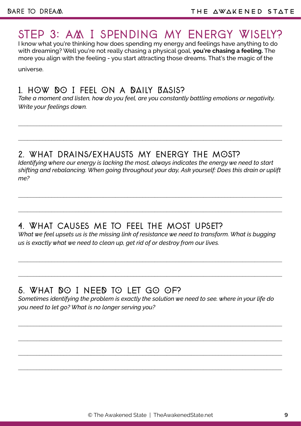# STEP 3: AM I SPENDING MY ENERGY WISELY?

I know what you're thinking how does spending my energy and feelings have anything to do with dreaming? Well you're not really chasing a physical goal, **you're chasing a feeling.** The more you align with the feeling - you start attracting those dreams. That's the magic of the

universe.

#### 1. hOw DO I feel On a DAily BASis?

*Take a moment and listen, how do you feel, are you constantly battling emotions or negativity. Write your feelings down.*

\_\_\_\_\_\_\_\_\_\_\_\_\_\_\_\_\_\_\_\_\_\_\_\_\_\_\_\_\_\_\_\_\_\_\_\_\_\_\_\_\_\_\_\_\_\_\_\_\_\_\_\_\_\_\_\_\_\_\_\_\_\_\_\_\_\_\_\_\_\_\_\_\_\_\_\_\_\_\_\_\_\_\_\_\_\_\_

\_\_\_\_\_\_\_\_\_\_\_\_\_\_\_\_\_\_\_\_\_\_\_\_\_\_\_\_\_\_\_\_\_\_\_\_\_\_\_\_\_\_\_\_\_\_\_\_\_\_\_\_\_\_\_\_\_\_\_\_\_\_\_\_\_\_\_\_\_\_\_\_\_\_\_\_\_\_\_\_\_\_\_\_\_\_\_

#### 2. what drains/exhausts my energy the mOst?

*Identifying where our energy is lacking the most, always indicates the energy we need to start shifting and rebalancing. When going throughout your day, Ask yourself: Does this drain or uplift me?*

\_\_\_\_\_\_\_\_\_\_\_\_\_\_\_\_\_\_\_\_\_\_\_\_\_\_\_\_\_\_\_\_\_\_\_\_\_\_\_\_\_\_\_\_\_\_\_\_\_\_\_\_\_\_\_\_\_\_\_\_\_\_\_\_\_\_\_\_\_\_\_\_\_\_\_\_\_\_\_\_\_\_\_\_\_\_\_

# 4. What causes me to feel the most upset?

*What we feel upsets us is the missing link of resistance we need to transform. What is bugging us is exactly what we need to clean up, get rid of or destroy from our lives.*

\_\_\_\_\_\_\_\_\_\_\_\_\_\_\_\_\_\_\_\_\_\_\_\_\_\_\_\_\_\_\_\_\_\_\_\_\_\_\_\_\_\_\_\_\_\_\_\_\_\_\_\_\_\_\_\_\_\_\_\_\_\_\_\_\_\_\_\_\_\_\_\_\_\_\_\_\_\_\_\_\_\_\_\_\_\_\_

\_\_\_\_\_\_\_\_\_\_\_\_\_\_\_\_\_\_\_\_\_\_\_\_\_\_\_\_\_\_\_\_\_\_\_\_\_\_\_\_\_\_\_\_\_\_\_\_\_\_\_\_\_\_\_\_\_\_\_\_\_\_\_\_\_\_\_\_\_\_\_\_\_\_\_\_\_\_\_\_\_\_\_\_\_\_\_

# 5. What DO I NEED tO LET GO OF?

*Sometimes identifying the problem is exactly the solution we need to see. where in your life do you need to let go? What is no longer serving you?*

\_\_\_\_\_\_\_\_\_\_\_\_\_\_\_\_\_\_\_\_\_\_\_\_\_\_\_\_\_\_\_\_\_\_\_\_\_\_\_\_\_\_\_\_\_\_\_\_\_\_\_\_\_\_\_\_\_\_\_\_\_\_\_\_\_\_\_\_\_\_\_\_\_\_\_\_\_\_\_\_\_\_\_\_\_\_\_

\_\_\_\_\_\_\_\_\_\_\_\_\_\_\_\_\_\_\_\_\_\_\_\_\_\_\_\_\_\_\_\_\_\_\_\_\_\_\_\_\_\_\_\_\_\_\_\_\_\_\_\_\_\_\_\_\_\_\_\_\_\_\_\_\_\_\_\_\_\_\_\_\_\_\_\_\_\_\_\_\_\_\_\_\_\_\_

\_\_\_\_\_\_\_\_\_\_\_\_\_\_\_\_\_\_\_\_\_\_\_\_\_\_\_\_\_\_\_\_\_\_\_\_\_\_\_\_\_\_\_\_\_\_\_\_\_\_\_\_\_\_\_\_\_\_\_\_\_\_\_\_\_\_\_\_\_\_\_\_\_\_\_\_\_\_\_\_\_\_\_\_\_\_\_

 $\_$  , and the set of the set of the set of the set of the set of the set of the set of the set of the set of the set of the set of the set of the set of the set of the set of the set of the set of the set of the set of th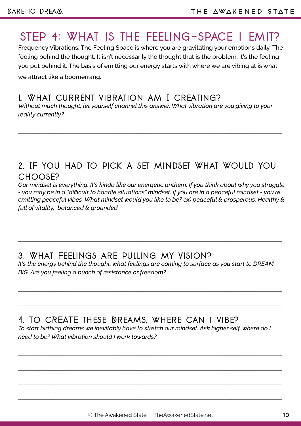# sTEp 4: What is the feeling-space i emit?

Frequency Vibrations. The Feeling Space is where you are gravitating your emotions daily. The feeling behind the thought. It isn't necessarily the thought that is the problem, it's the feeling you put behind it. The basis of emitting our energy starts with where we are vibing at is what we attract like a boomerrang.

#### 1. What current vibration am I creating?

*Without much thought, let yourself channel this answer. What vibration are you giving to your reality currently?*

\_\_\_\_\_\_\_\_\_\_\_\_\_\_\_\_\_\_\_\_\_\_\_\_\_\_\_\_\_\_\_\_\_\_\_\_\_\_\_\_\_\_\_\_\_\_\_\_\_\_\_\_\_\_\_\_\_\_\_\_\_\_\_\_\_\_\_\_\_\_\_\_\_\_\_\_\_\_\_\_\_\_\_\_\_\_\_

# 2. IF you had to pick a set mindset what would you choose?

*Our mindset is everything. It's kinda like our energetic anthem. If you think about why you struggle - you may be in a "difficult to handle situations" mindset. If you are in a peaceful mindset - you're emitting peaceful vibes. What mindset would you like to be? ex) peaceful & prosperous, Healthy & full of vitality, balanced & grounded.* 

#### 3. What Feelings are pulling my vision?

*It's the energy behind the thought, what feelings are coming to surface as you start to DREAM BIG. Are you feeling a bunch of resistance or freedom?*

 $\_$  , and the set of the set of the set of the set of the set of the set of the set of the set of the set of the set of the set of the set of the set of the set of the set of the set of the set of the set of the set of th

\_\_\_\_\_\_\_\_\_\_\_\_\_\_\_\_\_\_\_\_\_\_\_\_\_\_\_\_\_\_\_\_\_\_\_\_\_\_\_\_\_\_\_\_\_\_\_\_\_\_\_\_\_\_\_\_\_\_\_\_\_\_\_\_\_\_\_\_\_\_\_\_\_\_\_\_\_\_\_\_\_\_\_\_\_\_\_

#### 4. To cREATE these Dreams, where can i vibe?

*To start birthing dreams we inevitably have to stretch our mindset. Ask higher self, where do I need to be? What vibration should I work towards?*

\_\_\_\_\_\_\_\_\_\_\_\_\_\_\_\_\_\_\_\_\_\_\_\_\_\_\_\_\_\_\_\_\_\_\_\_\_\_\_\_\_\_\_\_\_\_\_\_\_\_\_\_\_\_\_\_\_\_\_\_\_\_\_\_\_\_\_\_\_\_\_\_\_\_\_\_\_\_\_\_\_\_\_\_\_\_\_

\_\_\_\_\_\_\_\_\_\_\_\_\_\_\_\_\_\_\_\_\_\_\_\_\_\_\_\_\_\_\_\_\_\_\_\_\_\_\_\_\_\_\_\_\_\_\_\_\_\_\_\_\_\_\_\_\_\_\_\_\_\_\_\_\_\_\_\_\_\_\_\_\_\_\_\_\_\_\_\_\_\_\_\_\_\_\_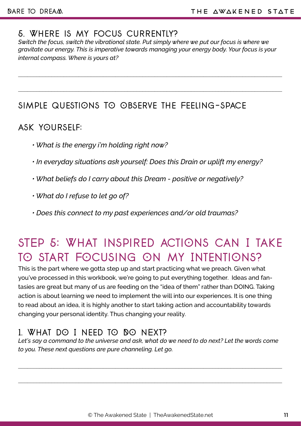#### 5. Where is my focus currently?

*Switch the focus, switch the vibrational state. Put simply where we put our focus is where we gravitate our energy. This is imperative towards managing your energy body. Your focus is your internal compass. Where is yours at?*

\_\_\_\_\_\_\_\_\_\_\_\_\_\_\_\_\_\_\_\_\_\_\_\_\_\_\_\_\_\_\_\_\_\_\_\_\_\_\_\_\_\_\_\_\_\_\_\_\_\_\_\_\_\_\_\_\_\_\_\_\_\_\_\_\_\_\_\_\_\_\_\_\_\_\_\_\_\_\_\_\_\_\_\_\_\_\_

## Simple questiOns TO Observe the Feeling-space

#### ask yOurself:

- *What is the energy i'm holding right now?*
- *In everyday situations ask yourself: Does this Drain or uplift my energy?*
- *What beliefs do I carry about this Dream positive or negatively?*
- *What do I refuse to let go of?*
- *Does this connect to my past experiences and/or old traumas?*

# sTEp 5: What inspired actiOns can I take tO Start FOcusing On my IntentiOns?

This is the part where we gotta step up and start practicing what we preach. Given what you've processed in this workbook, we're going to put everything together. Ideas and fantasies are great but many of us are feeding on the "idea of them" rather than DOING. Taking action is about learning we need to implement the will into our experiences. It is one thing to read about an idea, it is highly another to start taking action and accountability towards changing your personal identity. Thus changing your reality.

# 1. What dO I Need tO DO NExt?

Let's say a command to the universe and ask, what do we need to do next? Let the words come *to you. These next questions are pure channeling. Let go.*

\_\_\_\_\_\_\_\_\_\_\_\_\_\_\_\_\_\_\_\_\_\_\_\_\_\_\_\_\_\_\_\_\_\_\_\_\_\_\_\_\_\_\_\_\_\_\_\_\_\_\_\_\_\_\_\_\_\_\_\_\_\_\_\_\_\_\_\_\_\_\_\_\_\_\_\_\_\_\_\_\_\_\_\_\_\_\_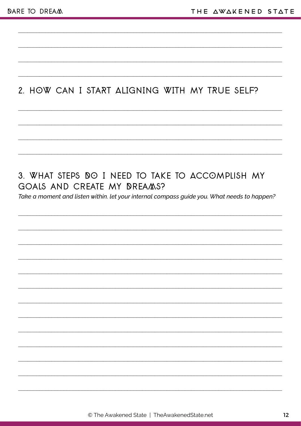# 2. HOW CAN I START ALIGNING WITH MY TRUE SELF?

# 3. WHAT STEPS DO I NEED TO TAKE TO ACCOMPLISH MY GOALS AND CREATE MY DREAMS?

Take a moment and listen within. let your internal compass guide you. What needs to happen?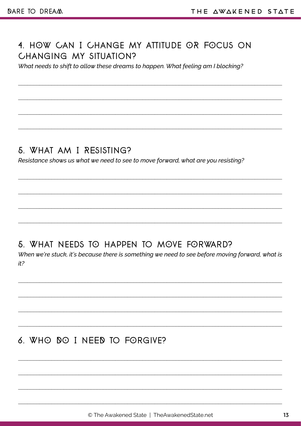#### 4. HOW CAN I CHANGE MY ATTITUDE OR FOCUS ON **CHANGING MY SITUATION?**

What needs to shift to allow these dreams to happen. What feeling am I blocking?

#### 5. WHAT AM I RESISTING?

Resistance shows us what we need to see to move forward, what are you resisting?

#### 5. WHAT NEEDS TO HAPPEN TO MOVE FORWARD?

When we're stuck, it's because there is something we need to see before moving forward, what is  $it<sup>2</sup>$ 

# 6 WHO NO I NFFN TO FORGIVE?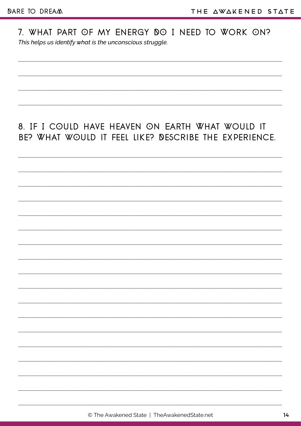7. WHAT PART OF MY ENERGY DO I NEED TO WORK ON? This helps us identify what is the unconscious struggle.

# 8. IF I COULD HAVE HEAVEN ON EARTH WHAT WOULD IT BE? WHAT WOULD IT FEEL LIKE? DESCRIBE THE EXPERIENCE.

© The Awakened State | TheAwakenedState.net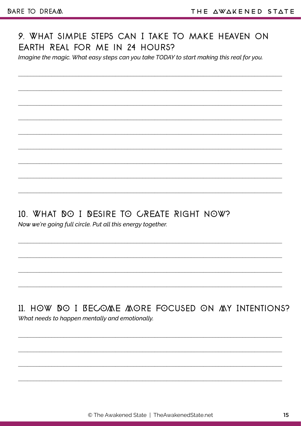#### 9. WHAT SIMPLE STEPS CAN I TAKE TO MAKE HEAVEN ON EARTH REAL FOR ME IN 24 HOURS?

Imagine the magic. What easy steps can you take TODAY to start making this real for you.

10. WHAT DO I DESIRE TO CREATE RIGHT NOW?

Now we're going full circle. Put all this energy together.

11. HOW DO I BECOME MORE FOCUSED ON MY INTENTIONS? What needs to happen mentally and emotionally.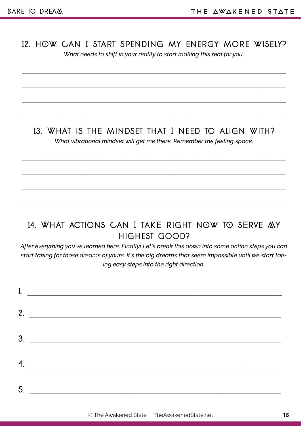# 12. hOw Can I start spending my energy more wisely?

\_\_\_\_\_\_\_\_\_\_\_\_\_\_\_\_\_\_\_\_\_\_\_\_\_\_\_\_\_\_\_\_\_\_\_\_\_\_\_\_\_\_\_\_\_\_\_\_\_\_\_\_\_\_\_\_\_\_\_\_\_\_\_\_\_\_\_\_\_\_\_\_\_\_\_\_\_\_\_\_\_\_\_\_\_\_\_

\_\_\_\_\_\_\_\_\_\_\_\_\_\_\_\_\_\_\_\_\_\_\_\_\_\_\_\_\_\_\_\_\_\_\_\_\_\_\_\_\_\_\_\_\_\_\_\_\_\_\_\_\_\_\_\_\_\_\_\_\_\_\_\_\_\_\_\_\_\_\_\_\_\_\_\_\_\_\_\_\_\_\_\_\_\_\_

\_\_\_\_\_\_\_\_\_\_\_\_\_\_\_\_\_\_\_\_\_\_\_\_\_\_\_\_\_\_\_\_\_\_\_\_\_\_\_\_\_\_\_\_\_\_\_\_\_\_\_\_\_\_\_\_\_\_\_\_\_\_\_\_\_\_\_\_\_\_\_\_\_\_\_\_\_\_\_\_\_\_\_\_\_\_\_

*What needs to shift in your reality to start making this real for you.* 

#### 13. What is the mindset that I need to align with?

*What vibrational mindset will get me there. Remember the feeling space.*

\_\_\_\_\_\_\_\_\_\_\_\_\_\_\_\_\_\_\_\_\_\_\_\_\_\_\_\_\_\_\_\_\_\_\_\_\_\_\_\_\_\_\_\_\_\_\_\_\_\_\_\_\_\_\_\_\_\_\_\_\_\_\_\_\_\_\_\_\_\_\_\_\_\_\_\_\_\_\_\_\_\_\_\_\_\_\_

\_\_\_\_\_\_\_\_\_\_\_\_\_\_\_\_\_\_\_\_\_\_\_\_\_\_\_\_\_\_\_\_\_\_\_\_\_\_\_\_\_\_\_\_\_\_\_\_\_\_\_\_\_\_\_\_\_\_\_\_\_\_\_\_\_\_\_\_\_\_\_\_\_\_\_\_\_\_\_\_\_\_\_\_\_\_\_

\_\_\_\_\_\_\_\_\_\_\_\_\_\_\_\_\_\_\_\_\_\_\_\_\_\_\_\_\_\_\_\_\_\_\_\_\_\_\_\_\_\_\_\_\_\_\_\_\_\_\_\_\_\_\_\_\_\_\_\_\_\_\_\_\_\_\_\_\_\_\_\_\_\_\_\_\_\_\_\_\_\_\_\_\_\_\_

# 14. WHAT ACTIONS CAN I TAKE RIGHT NOW TO SERVE MY highest Good?

*After everything you've learned here, Finally! Let's break this down into some action steps you can start taking for those dreams of yours. It's the big dreams that seem impossible until we start taking easy steps into the right direction.*

| 1. |    |
|----|----|
|    | 2. |
| 3. |    |
|    | 4. |
| 5. |    |